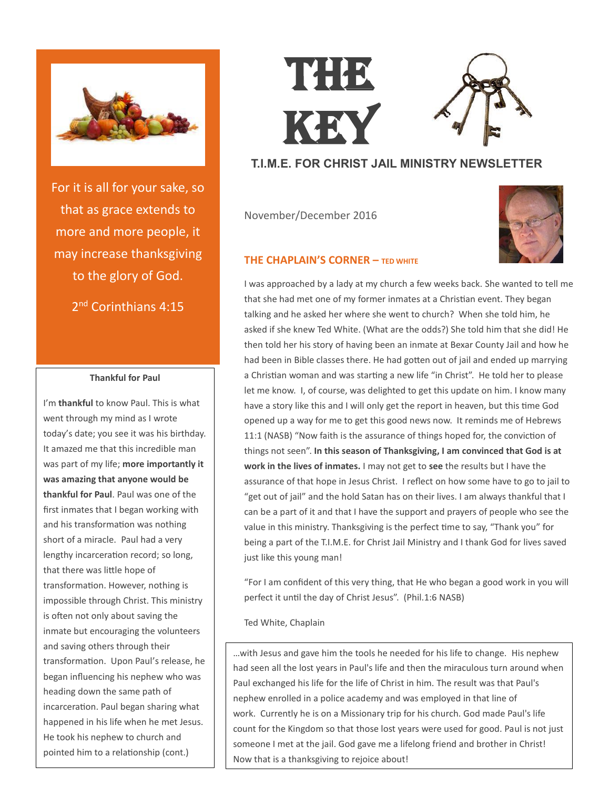

For it is all for your sake, so that as grace extends to more and more people, it may increase thanksgiving to the glory of God. 2<sup>nd</sup> Corinthians 4:15

### **Thankful for Paul**

I'm **thankful** to know Paul. This is what went through my mind as I wrote today's date; you see it was his birthday. It amazed me that this incredible man was part of my life; **more importantly it was amazing that anyone would be thankful for Paul**. Paul was one of the first inmates that I began working with and his transformation was nothing short of a miracle. Paul had a very lengthy incarceration record; so long, that there was little hope of transformation. However, nothing is impossible through Christ. This ministry is often not only about saving the inmate but encouraging the volunteers and saving others through their transformation. Upon Paul's release, he began influencing his nephew who was heading down the same path of incarceration. Paul began sharing what happened in his life when he met Jesus. He took his nephew to church and pointed him to a relationship (cont.)

# THE KEY

## **T.I.M.E. FOR CHRIST JAIL MINISTRY NEWSLETTER**

November/December 2016



## **THE CHAPLAIN'S CORNER – TED WHITE**

I was approached by a lady at my church a few weeks back. She wanted to tell me that she had met one of my former inmates at a Christian event. They began talking and he asked her where she went to church? When she told him, he asked if she knew Ted White. (What are the odds?) She told him that she did! He then told her his story of having been an inmate at Bexar County Jail and how he had been in Bible classes there. He had gotten out of jail and ended up marrying a Christian woman and was starting a new life "in Christ". He told her to please let me know. I, of course, was delighted to get this update on him. I know many have a story like this and I will only get the report in heaven, but this time God opened up a way for me to get this good news now. It reminds me of Hebrews 11:1 (NASB) "Now faith is the assurance of things hoped for, the conviction of things not seen". **In this season of Thanksgiving, I am convinced that God is at work in the lives of inmates.** I may not get to **see** the results but I have the assurance of that hope in Jesus Christ. I reflect on how some have to go to jail to "get out of jail" and the hold Satan has on their lives. I am always thankful that I can be a part of it and that I have the support and prayers of people who see the value in this ministry. Thanksgiving is the perfect time to say, "Thank you" for being a part of the T.I.M.E. for Christ Jail Ministry and I thank God for lives saved just like this young man!

"For I am confident of this very thing, that He who began a good work in you will perfect it until the day of Christ Jesus". (Phil.1:6 NASB)

Ted White, Chaplain

…with Jesus and gave him the tools he needed for his life to change. His nephew had seen all the lost years in Paul's life and then the miraculous turn around when Paul exchanged his life for the life of Christ in him. The result was that Paul's nephew enrolled in a police academy and was employed in that line of work. Currently he is on a Missionary trip for his church. God made Paul's life count for the Kingdom so that those lost years were used for good. Paul is not just someone I met at the jail. God gave me a lifelong friend and brother in Christ! Now that is a thanksgiving to rejoice about!